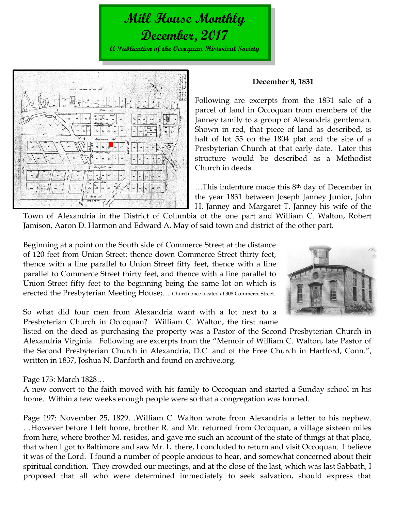# **Mill House Monthly December, 2017**

**A Publication of the Occoquan Historical Society**



#### **December 8, 1831**

Following are excerpts from the 1831 sale of a parcel of land in Occoquan from members of the Janney family to a group of Alexandria gentleman. Shown in red, that piece of land as described, is half of lot 55 on the 1804 plat and the site of a Presbyterian Church at that early date. Later this structure would be described as a Methodist Church in deeds.

…This indenture made this 8th day of December in the year 1831 between Joseph Janney Junior, John H. Janney and Margaret T. Janney his wife of the

Town of Alexandria in the District of Columbia of the one part and William C. Walton, Robert Jamison, Aaron D. Harmon and Edward A. May of said town and district of the other part.

Beginning at a point on the South side of Commerce Street at the distance of 120 feet from Union Street: thence down Commerce Street thirty feet, thence with a line parallel to Union Street fifty feet, thence with a line parallel to Commerce Street thirty feet, and thence with a line parallel to Union Street fifty feet to the beginning being the same lot on which is erected the Presbyterian Meeting House;….Church once located at 308 Commerce Street.



So what did four men from Alexandria want with a lot next to a Presbyterian Church in Occoquan? William C. Walton, the first name

listed on the deed as purchasing the property was a Pastor of the Second Presbyterian Church in Alexandria Virginia. Following are excerpts from the "Memoir of William C. Walton, late Pastor of the Second Presbyterian Church in Alexandria, D.C. and of the Free Church in Hartford, Conn.", written in 1837, Joshua N. Danforth and found on archive.org.

Page 173: March 1828…

A new convert to the faith moved with his family to Occoquan and started a Sunday school in his home. Within a few weeks enough people were so that a congregation was formed.

Page 197: November 25, 1829…William C. Walton wrote from Alexandria a letter to his nephew. …However before I left home, brother R. and Mr. returned from Occoquan, a village sixteen miles from here, where brother M. resides, and gave me such an account of the state of things at that place, that when I got to Baltimore and saw Mr. L. there, I concluded to return and visit Occoquan. I believe it was of the Lord. I found a number of people anxious to hear, and somewhat concerned about their spiritual condition. They crowded our meetings, and at the close of the last, which was last Sabbath, I proposed that all who were determined immediately to seek salvation, should express that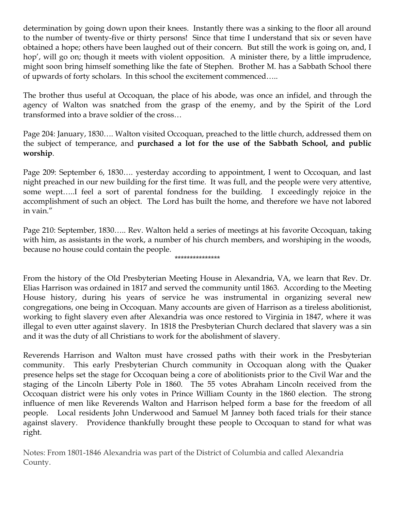determination by going down upon their knees. Instantly there was a sinking to the floor all around to the number of twenty-five or thirty persons! Since that time I understand that six or seven have obtained a hope; others have been laughed out of their concern. But still the work is going on, and, I hop', will go on; though it meets with violent opposition. A minister there, by a little imprudence, might soon bring himself something like the fate of Stephen. Brother M. has a Sabbath School there of upwards of forty scholars. In this school the excitement commenced…..

The brother thus useful at Occoquan, the place of his abode, was once an infidel, and through the agency of Walton was snatched from the grasp of the enemy, and by the Spirit of the Lord transformed into a brave soldier of the cross…

Page 204: January, 1830…. Walton visited Occoquan, preached to the little church, addressed them on the subject of temperance, and **purchased a lot for the use of the Sabbath School, and public worship**.

Page 209: September 6, 1830…. yesterday according to appointment, I went to Occoquan, and last night preached in our new building for the first time. It was full, and the people were very attentive, some wept…..I feel a sort of parental fondness for the building. I exceedingly rejoice in the accomplishment of such an object. The Lord has built the home, and therefore we have not labored in vain."

Page 210: September, 1830….. Rev. Walton held a series of meetings at his favorite Occoquan, taking with him, as assistants in the work, a number of his church members, and worshiping in the woods, because no house could contain the people. \*\*\*\*\*\*\*\*\*\*\*\*\*\*\*

From the history of the Old Presbyterian Meeting House in Alexandria, VA, we learn that Rev. Dr. Elias Harrison was ordained in 1817 and served the community until 1863. According to the Meeting House history, during his years of service he was instrumental in organizing several new congregations, one being in Occoquan. Many accounts are given of Harrison as a tireless abolitionist, working to fight slavery even after Alexandria was once restored to Virginia in 1847, where it was illegal to even utter against slavery. In 1818 the Presbyterian Church declared that slavery was a sin and it was the duty of all Christians to work for the abolishment of slavery.

Reverends Harrison and Walton must have crossed paths with their work in the Presbyterian community. This early Presbyterian Church community in Occoquan along with the Quaker presence helps set the stage for Occoquan being a core of abolitionists prior to the Civil War and the staging of the Lincoln Liberty Pole in 1860. The 55 votes Abraham Lincoln received from the Occoquan district were his only votes in Prince William County in the 1860 election. The strong influence of men like Reverends Walton and Harrison helped form a base for the freedom of all people. Local residents John Underwood and Samuel M Janney both faced trials for their stance against slavery. Providence thankfully brought these people to Occoquan to stand for what was right.

Notes: From 1801-1846 Alexandria was part of the District of Columbia and called Alexandria County.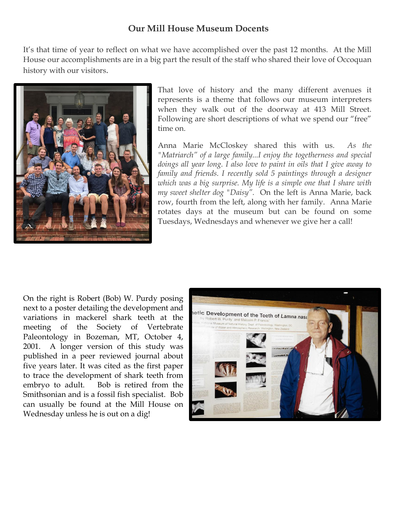# **Our Mill House Museum Docents**

It's that time of year to reflect on what we have accomplished over the past 12 months. At the Mill House our accomplishments are in a big part the result of the staff who shared their love of Occoquan history with our visitors.



That love of history and the many different avenues it represents is a theme that follows our museum interpreters when they walk out of the doorway at 413 Mill Street. Following are short descriptions of what we spend our "free" time on.

Anna Marie McCloskey shared this with us. *As the "Matriarch" of a large family...I enjoy the togetherness and special doings all year long. I also love to paint in oils that I give away to family and friends. I recently sold 5 paintings through a designer which was a big surprise. My life is a simple one that I share with my sweet shelter dog "Daisy".* On the left is Anna Marie, back row, fourth from the left, along with her family. Anna Marie rotates days at the museum but can be found on some Tuesdays, Wednesdays and whenever we give her a call!

On the right is Robert (Bob) W. Purdy posing next to a poster detailing the development and variations in mackerel shark teeth at the meeting of the Society of Vertebrate Paleontology in Bozeman, MT, October 4, 2001. A longer version of this study was published in a peer reviewed journal about five years later. It was cited as the first paper to trace the development of shark teeth from embryo to adult. Bob is retired from the Smithsonian and is a fossil fish specialist. Bob can usually be found at the Mill House on Wednesday unless he is out on a dig!

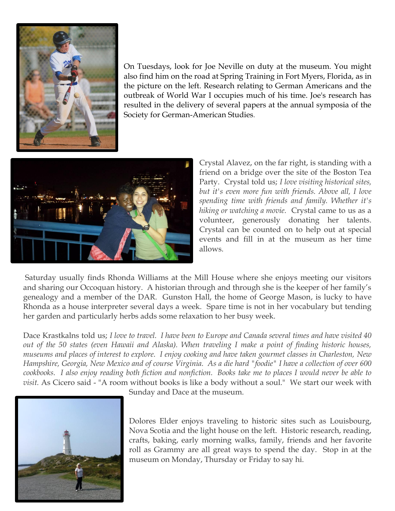

On Tuesdays, look for Joe Neville on duty at the museum. You might also find him on the road at Spring Training in Fort Myers, Florida, as in the picture on the left. Research relating to German Americans and the outbreak of World War I occupies much of his time. Joe's research has resulted in the delivery of several papers at the annual symposia of the Society for German-American Studies.



Crystal Alavez, on the far right, is standing with a friend on a bridge over the site of the Boston Tea Party. Crystal told us; *I love visiting historical sites, but it's even more fun with friends. Above all, I love spending time with friends and family. Whether it's hiking or watching a movie.* Crystal came to us as a volunteer, generously donating her talents. Crystal can be counted on to help out at special events and fill in at the museum as her time allows.

Saturday usually finds Rhonda Williams at the Mill House where she enjoys meeting our visitors and sharing our Occoquan history. A historian through and through she is the keeper of her family's genealogy and a member of the DAR. Gunston Hall, the home of George Mason, is lucky to have Rhonda as a house interpreter several days a week. Spare time is not in her vocabulary but tending her garden and particularly herbs adds some relaxation to her busy week.

Dace Krastkalns told us; *I love to travel. I have been to Europe and Canada several times and have visited 40 out of the 50 states (even Hawaii and Alaska). When traveling I make a point of finding historic houses, museums and places of interest to explore. I enjoy cooking and have taken gourmet classes in Charleston, New Hampshire, Georgia, New Mexico and of course Virginia. As a die hard "foodie" I have a collection of over 600 cookbooks. I also enjoy reading both fiction and nonfiction. Books take me to places I would never be able to visit.* As Cicero said - "A room without books is like a body without a soul." We start our week with



Sunday and Dace at the museum.

Dolores Elder enjoys traveling to historic sites such as Louisbourg, Nova Scotia and the light house on the left. Historic research, reading, crafts, baking, early morning walks, family, friends and her favorite roll as Grammy are all great ways to spend the day. Stop in at the museum on Monday, Thursday or Friday to say hi.